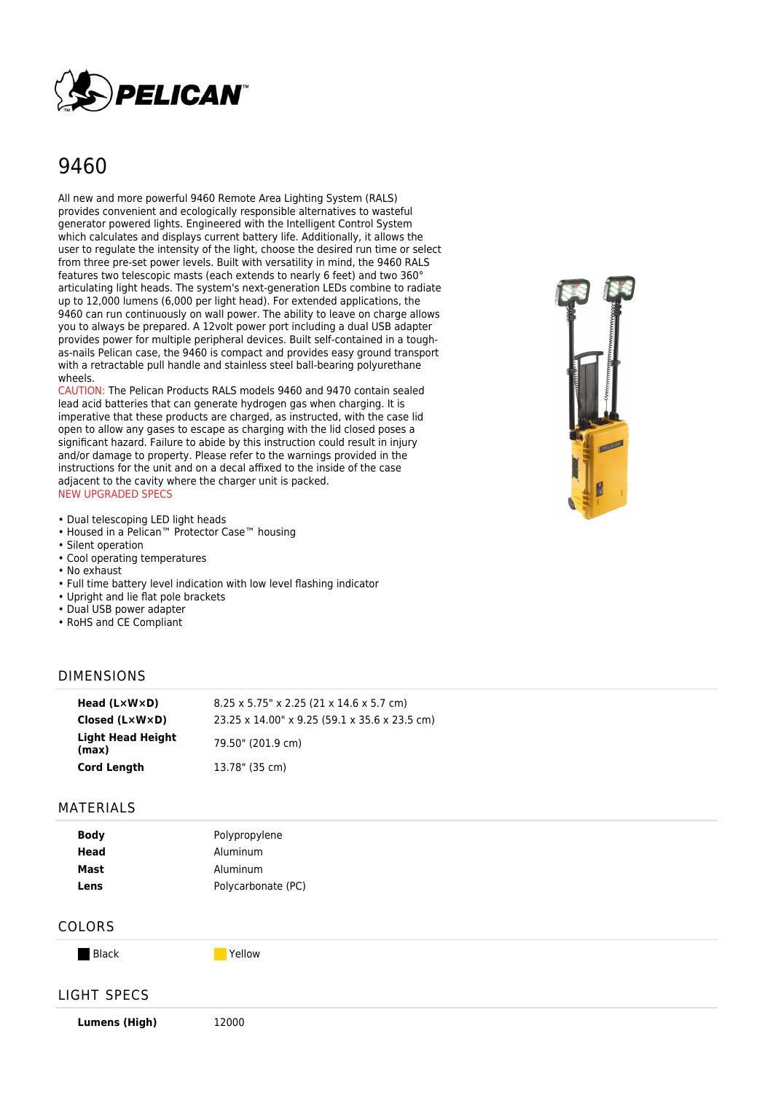

# 9460

All new and more powerful 9460 Remote Area Lighting System (RALS) provides convenient and ecologically responsible alternatives to wasteful generator powered lights. Engineered with the Intelligent Control System which calculates and displays current battery life. Additionally, it allows the user to regulate the intensity of the light, choose the desired run time or select from three pre-set power levels. Built with versatility in mind, the 9460 RALS features two telescopic masts (each extends to nearly 6 feet) and two 360° articulating light heads. The system's next-generation LEDs combine to radiate up to 12,000 lumens (6,000 per light head). For extended applications, the 9460 can run continuously on wall power. The ability to leave on charge allows you to always be prepared. A 12volt power port including a dual USB adapter provides power for multiple peripheral devices. Built self-contained in a toughas-nails Pelican case, the 9460 is compact and provides easy ground transport with a retractable pull handle and stainless steel ball-bearing polyurethane wheels.

CAUTION: The Pelican Products RALS models 9460 and 9470 contain sealed lead acid batteries that can generate hydrogen gas when charging. It is imperative that these products are charged, as instructed, with the case lid open to allow any gases to escape as charging with the lid closed poses a significant hazard. Failure to abide by this instruction could result in injury and/or damage to property. Please refer to the warnings provided in the instructions for the unit and on a decal affixed to the inside of the case adjacent to the cavity where the charger unit is packed. NEW UPGRADED SPECS

- Dual telescoping LED light heads
- Housed in a Pelican™ Protector Case™ housing
- Silent operation
- Cool operating temperatures
- No exhaust
- Full time battery level indication with low level flashing indicator
- Upright and lie flat pole brackets
- Dual USB power adapter
- RoHS and CE Compliant

# DIMENSIONS

| Head $(L \times W \times D)$      | $8.25 \times 5.75$ " x 2.25 (21 x 14.6 x 5.7 cm) |
|-----------------------------------|--------------------------------------------------|
| Closed $(L \times W \times D)$    | 23.25 x 14.00" x 9.25 (59.1 x 35.6 x 23.5 cm)    |
| <b>Light Head Height</b><br>(max) | 79.50" (201.9 cm)                                |
| <b>Cord Length</b>                | 13.78" (35 cm)                                   |

#### MATERIALS

| <b>Body</b> | Polypropylene      |
|-------------|--------------------|
| Head        | Aluminum           |
| Mast        | Aluminum           |
| Lens        | Polycarbonate (PC) |

### COLORS

Black The Preference of the Preference of the Preference of the Preference of the Preference of the Preference

### LIGHT SPECS

**Lumens (High)** 12000